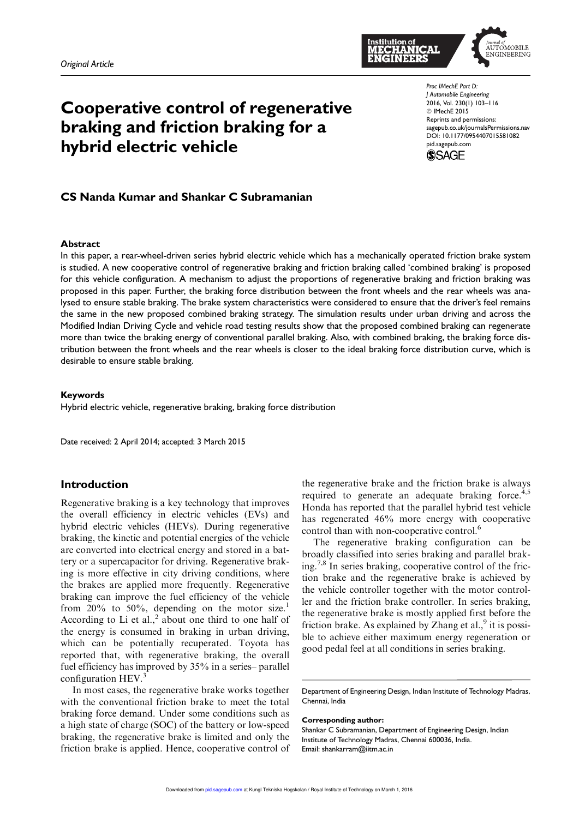

# *Proc IMechE Part D:* Cooperative control of regenerative braking and friction braking for a





CS Nanda Kumar and Shankar C Subramanian

hybrid electric vehicle

#### Abstract

In this paper, a rear-wheel-driven series hybrid electric vehicle which has a mechanically operated friction brake system is studied. A new cooperative control of regenerative braking and friction braking called 'combined braking' is proposed for this vehicle configuration. A mechanism to adjust the proportions of regenerative braking and friction braking was proposed in this paper. Further, the braking force distribution between the front wheels and the rear wheels was analysed to ensure stable braking. The brake system characteristics were considered to ensure that the driver's feel remains the same in the new proposed combined braking strategy. The simulation results under urban driving and across the Modified Indian Driving Cycle and vehicle road testing results show that the proposed combined braking can regenerate more than twice the braking energy of conventional parallel braking. Also, with combined braking, the braking force distribution between the front wheels and the rear wheels is closer to the ideal braking force distribution curve, which is desirable to ensure stable braking.

#### Keywords

Hybrid electric vehicle, regenerative braking, braking force distribution

Date received: 2 April 2014; accepted: 3 March 2015

# Introduction

Regenerative braking is a key technology that improves the overall efficiency in electric vehicles (EVs) and hybrid electric vehicles (HEVs). During regenerative braking, the kinetic and potential energies of the vehicle are converted into electrical energy and stored in a battery or a supercapacitor for driving. Regenerative braking is more effective in city driving conditions, where the brakes are applied more frequently. Regenerative braking can improve the fuel efficiency of the vehicle from 20% to 50%, depending on the motor size.<sup>1</sup> According to Li et al., $<sup>2</sup>$  about one third to one half of</sup> the energy is consumed in braking in urban driving, which can be potentially recuperated. Toyota has reported that, with regenerative braking, the overall fuel efficiency has improved by 35% in a series– parallel configuration  $HEV<sup>3</sup>$ 

In most cases, the regenerative brake works together with the conventional friction brake to meet the total braking force demand. Under some conditions such as a high state of charge (SOC) of the battery or low-speed braking, the regenerative brake is limited and only the friction brake is applied. Hence, cooperative control of the regenerative brake and the friction brake is always required to generate an adequate braking force. $4,5$ Honda has reported that the parallel hybrid test vehicle has regenerated 46% more energy with cooperative control than with non-cooperative control.<sup>6</sup>

The regenerative braking configuration can be broadly classified into series braking and parallel braking.<sup>7,8</sup> In series braking, cooperative control of the friction brake and the regenerative brake is achieved by the vehicle controller together with the motor controller and the friction brake controller. In series braking, the regenerative brake is mostly applied first before the friction brake. As explained by Zhang et al.,<sup>9</sup> it is possible to achieve either maximum energy regeneration or good pedal feel at all conditions in series braking.

Corresponding author:

Shankar C Subramanian, Department of Engineering Design, Indian Institute of Technology Madras, Chennai 600036, India. Email: shankarram@iitm.ac.in

Department of Engineering Design, Indian Institute of Technology Madras, Chennai, India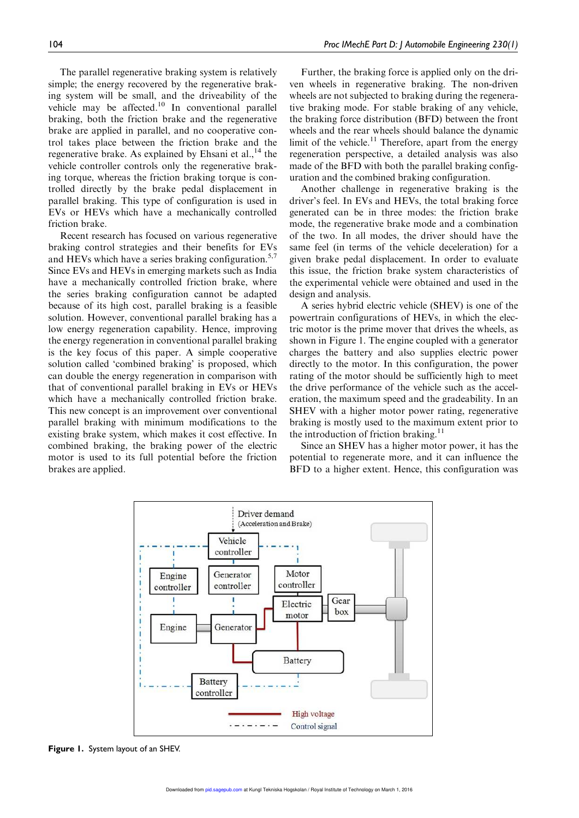The parallel regenerative braking system is relatively simple; the energy recovered by the regenerative braking system will be small, and the driveability of the vehicle may be affected.<sup>10</sup> In conventional parallel braking, both the friction brake and the regenerative brake are applied in parallel, and no cooperative control takes place between the friction brake and the regenerative brake. As explained by Ehsani et al., $^{14}$  the vehicle controller controls only the regenerative braking torque, whereas the friction braking torque is controlled directly by the brake pedal displacement in parallel braking. This type of configuration is used in EVs or HEVs which have a mechanically controlled friction brake.

Recent research has focused on various regenerative braking control strategies and their benefits for EVs and HEVs which have a series braking configuration.<sup>5,7</sup> Since EVs and HEVs in emerging markets such as India have a mechanically controlled friction brake, where the series braking configuration cannot be adapted because of its high cost, parallel braking is a feasible solution. However, conventional parallel braking has a low energy regeneration capability. Hence, improving the energy regeneration in conventional parallel braking is the key focus of this paper. A simple cooperative solution called 'combined braking' is proposed, which can double the energy regeneration in comparison with that of conventional parallel braking in EVs or HEVs which have a mechanically controlled friction brake. This new concept is an improvement over conventional parallel braking with minimum modifications to the existing brake system, which makes it cost effective. In combined braking, the braking power of the electric motor is used to its full potential before the friction brakes are applied.

Further, the braking force is applied only on the driven wheels in regenerative braking. The non-driven wheels are not subjected to braking during the regenerative braking mode. For stable braking of any vehicle, the braking force distribution (BFD) between the front wheels and the rear wheels should balance the dynamic limit of the vehicle.<sup>11</sup> Therefore, apart from the energy regeneration perspective, a detailed analysis was also made of the BFD with both the parallel braking configuration and the combined braking configuration.

Another challenge in regenerative braking is the driver's feel. In EVs and HEVs, the total braking force generated can be in three modes: the friction brake mode, the regenerative brake mode and a combination of the two. In all modes, the driver should have the same feel (in terms of the vehicle deceleration) for a given brake pedal displacement. In order to evaluate this issue, the friction brake system characteristics of the experimental vehicle were obtained and used in the design and analysis.

A series hybrid electric vehicle (SHEV) is one of the powertrain configurations of HEVs, in which the electric motor is the prime mover that drives the wheels, as shown in Figure 1. The engine coupled with a generator charges the battery and also supplies electric power directly to the motor. In this configuration, the power rating of the motor should be sufficiently high to meet the drive performance of the vehicle such as the acceleration, the maximum speed and the gradeability. In an SHEV with a higher motor power rating, regenerative braking is mostly used to the maximum extent prior to the introduction of friction braking. $^{11}$ 

Since an SHEV has a higher motor power, it has the potential to regenerate more, and it can influence the BFD to a higher extent. Hence, this configuration was



Figure 1. System layout of an SHEV.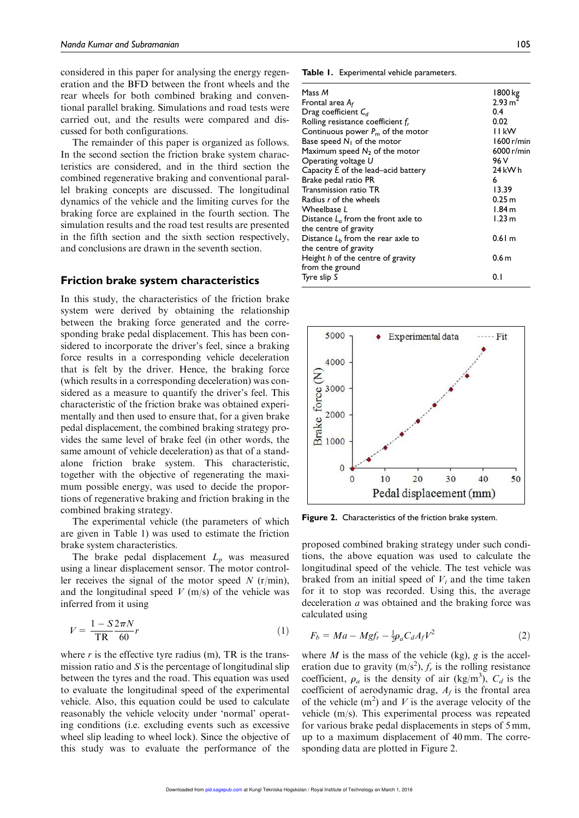considered in this paper for analysing the energy regeneration and the BFD between the front wheels and the rear wheels for both combined braking and conventional parallel braking. Simulations and road tests were carried out, and the results were compared and discussed for both configurations.

The remainder of this paper is organized as follows. In the second section the friction brake system characteristics are considered, and in the third section the combined regenerative braking and conventional parallel braking concepts are discussed. The longitudinal dynamics of the vehicle and the limiting curves for the braking force are explained in the fourth section. The simulation results and the road test results are presented in the fifth section and the sixth section respectively, and conclusions are drawn in the seventh section.

#### Friction brake system characteristics

In this study, the characteristics of the friction brake system were derived by obtaining the relationship between the braking force generated and the corresponding brake pedal displacement. This has been considered to incorporate the driver's feel, since a braking force results in a corresponding vehicle deceleration that is felt by the driver. Hence, the braking force (which results in a corresponding deceleration) was considered as a measure to quantify the driver's feel. This characteristic of the friction brake was obtained experimentally and then used to ensure that, for a given brake pedal displacement, the combined braking strategy provides the same level of brake feel (in other words, the same amount of vehicle deceleration) as that of a standalone friction brake system. This characteristic, together with the objective of regenerating the maximum possible energy, was used to decide the proportions of regenerative braking and friction braking in the combined braking strategy.

The experimental vehicle (the parameters of which are given in Table 1) was used to estimate the friction brake system characteristics.

The brake pedal displacement  $L_p$  was measured using a linear displacement sensor. The motor controller receives the signal of the motor speed  $N$  (r/min), and the longitudinal speed  $V$  (m/s) of the vehicle was inferred from it using

$$
V = \frac{1 - S2\pi N}{TR \ 60}r\tag{1}
$$

where  $r$  is the effective tyre radius (m), TR is the transmission ratio and  $S$  is the percentage of longitudinal slip between the tyres and the road. This equation was used to evaluate the longitudinal speed of the experimental vehicle. Also, this equation could be used to calculate reasonably the vehicle velocity under 'normal' operating conditions (i.e. excluding events such as excessive wheel slip leading to wheel lock). Since the objective of this study was to evaluate the performance of the Table 1. Experimental vehicle parameters.

| Mass M<br>Frontal area $A_f$<br>Drag coefficient $C_d$<br>Rolling resistance coefficient f <sub>r</sub><br>Continuous power $P_m$ of the motor<br>Base speed $N_1$ of the motor<br>Maximum speed $N_2$ of the motor<br>Operating voltage U<br>Capacity E of the lead-acid battery<br>Brake pedal ratio PR<br>Transmission ratio TR<br>Radius r of the wheels | 1800 kg<br>2.93 m <sup>2</sup><br>0.4<br>0.02<br><b>IIKW</b><br>1600 r/min<br>6000 r/min<br>96 V<br>24 kWh<br>6<br>13.39<br>0.25 m |
|--------------------------------------------------------------------------------------------------------------------------------------------------------------------------------------------------------------------------------------------------------------------------------------------------------------------------------------------------------------|------------------------------------------------------------------------------------------------------------------------------------|
| Wheelbase <i>L</i>                                                                                                                                                                                                                                                                                                                                           | 1.84 <sub>m</sub>                                                                                                                  |
| Distance $L_0$ from the front axle to<br>the centre of gravity                                                                                                                                                                                                                                                                                               | 1.23 <sub>m</sub>                                                                                                                  |
| Distance $Lb$ from the rear axle to<br>the centre of gravity                                                                                                                                                                                                                                                                                                 | 0.61 m                                                                                                                             |
| Height h of the centre of gravity<br>from the ground                                                                                                                                                                                                                                                                                                         | 0.6 <sub>m</sub>                                                                                                                   |
| Tyre slip S                                                                                                                                                                                                                                                                                                                                                  | 0. I                                                                                                                               |



Figure 2. Characteristics of the friction brake system.

proposed combined braking strategy under such conditions, the above equation was used to calculate the longitudinal speed of the vehicle. The test vehicle was braked from an initial speed of  $V_i$  and the time taken for it to stop was recorded. Using this, the average deceleration a was obtained and the braking force was calculated using

$$
F_b = Ma - Mgf_r - \frac{1}{2}\rho_a C_d A_f V^2 \tag{2}
$$

where  $M$  is the mass of the vehicle (kg), g is the acceleration due to gravity  $(m/s^2)$ ,  $f_r$  is the rolling resistance coefficient,  $\rho_a$  is the density of air (kg/m<sup>3</sup>),  $C_d$  is the coefficient of aerodynamic drag,  $A_f$  is the frontal area of the vehicle  $(m^2)$  and V is the average velocity of the vehicle (m/s). This experimental process was repeated for various brake pedal displacements in steps of 5 mm, up to a maximum displacement of 40 mm. The corresponding data are plotted in Figure 2.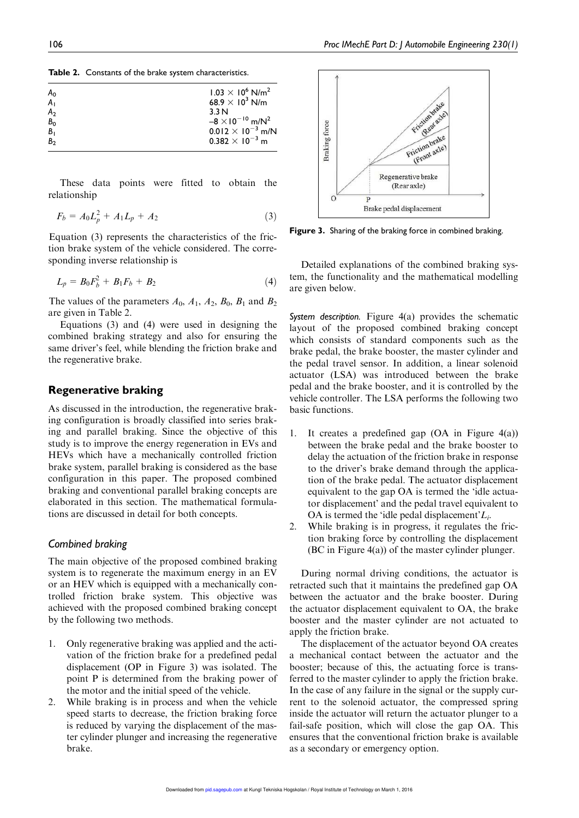| <b>Table 2.</b> Constants of the brake system characteristics. |  |
|----------------------------------------------------------------|--|
|----------------------------------------------------------------|--|

|                | $1.03 \times 10^6$ N/m <sup>2</sup>   |
|----------------|---------------------------------------|
| A <sub>0</sub> |                                       |
| A <sub>1</sub> | 68.9 $\times$ 10 <sup>3</sup> N/m     |
| A <sub>2</sub> | 3.3 N                                 |
| B <sub>0</sub> | $-8 \times 10^{-10}$ m/N <sup>2</sup> |
| B <sub>1</sub> | $0.012 \times 10^{-3}$ m/N            |
| B <sub>2</sub> | $0.382 \times 10^{-3}$ m              |
|                |                                       |

These data points were fitted to obtain the relationship

$$
F_b = A_0 L_p^2 + A_1 L_p + A_2 \tag{3}
$$

Equation (3) represents the characteristics of the friction brake system of the vehicle considered. The corresponding inverse relationship is

$$
L_p = B_0 F_b^2 + B_1 F_b + B_2 \tag{4}
$$

The values of the parameters  $A_0$ ,  $A_1$ ,  $A_2$ ,  $B_0$ ,  $B_1$  and  $B_2$ are given in Table 2.

Equations (3) and (4) were used in designing the combined braking strategy and also for ensuring the same driver's feel, while blending the friction brake and the regenerative brake.

## Regenerative braking

As discussed in the introduction, the regenerative braking configuration is broadly classified into series braking and parallel braking. Since the objective of this study is to improve the energy regeneration in EVs and HEVs which have a mechanically controlled friction brake system, parallel braking is considered as the base configuration in this paper. The proposed combined braking and conventional parallel braking concepts are elaborated in this section. The mathematical formulations are discussed in detail for both concepts.

#### *Combined braking*

The main objective of the proposed combined braking system is to regenerate the maximum energy in an EV or an HEV which is equipped with a mechanically controlled friction brake system. This objective was achieved with the proposed combined braking concept by the following two methods.

- 1. Only regenerative braking was applied and the activation of the friction brake for a predefined pedal displacement (OP in Figure 3) was isolated. The point P is determined from the braking power of the motor and the initial speed of the vehicle.
- 2. While braking is in process and when the vehicle speed starts to decrease, the friction braking force is reduced by varying the displacement of the master cylinder plunger and increasing the regenerative brake.



Figure 3. Sharing of the braking force in combined braking.

Detailed explanations of the combined braking system, the functionality and the mathematical modelling are given below.

*System description.* Figure 4(a) provides the schematic layout of the proposed combined braking concept which consists of standard components such as the brake pedal, the brake booster, the master cylinder and the pedal travel sensor. In addition, a linear solenoid actuator (LSA) was introduced between the brake pedal and the brake booster, and it is controlled by the vehicle controller. The LSA performs the following two basic functions.

- 1. It creates a predefined gap (OA in Figure 4(a)) between the brake pedal and the brake booster to delay the actuation of the friction brake in response to the driver's brake demand through the application of the brake pedal. The actuator displacement equivalent to the gap OA is termed the 'idle actuator displacement' and the pedal travel equivalent to OA is termed the 'idle pedal displacement' $L_i$ .
- 2. While braking is in progress, it regulates the friction braking force by controlling the displacement (BC in Figure 4(a)) of the master cylinder plunger.

During normal driving conditions, the actuator is retracted such that it maintains the predefined gap OA between the actuator and the brake booster. During the actuator displacement equivalent to OA, the brake booster and the master cylinder are not actuated to apply the friction brake.

The displacement of the actuator beyond OA creates a mechanical contact between the actuator and the booster; because of this, the actuating force is transferred to the master cylinder to apply the friction brake. In the case of any failure in the signal or the supply current to the solenoid actuator, the compressed spring inside the actuator will return the actuator plunger to a fail-safe position, which will close the gap OA. This ensures that the conventional friction brake is available as a secondary or emergency option.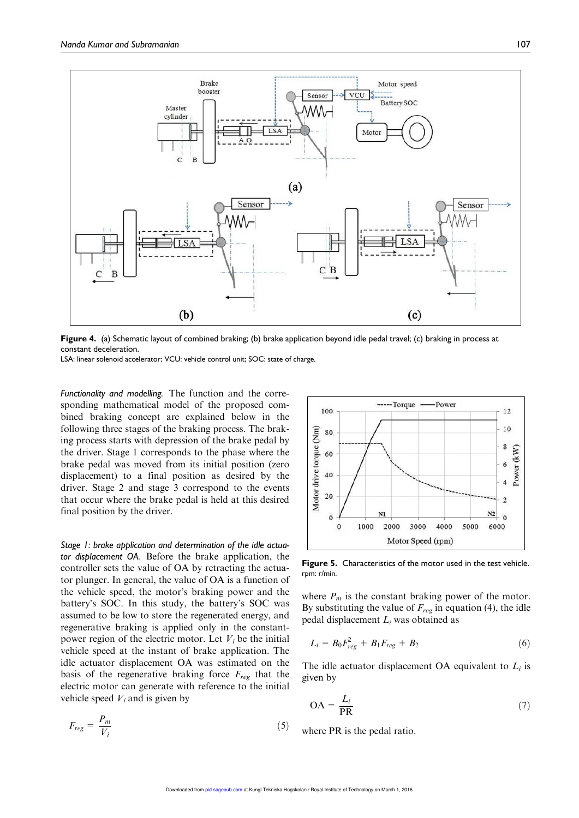

Figure 4. (a) Schematic layout of combined braking; (b) brake application beyond idle pedal travel; (c) braking in process at constant deceleration.

LSA: linear solenoid accelerator; VCU: vehicle control unit; SOC: state of charge.

*Functionality and modelling.* The function and the corresponding mathematical model of the proposed combined braking concept are explained below in the following three stages of the braking process. The braking process starts with depression of the brake pedal by the driver. Stage 1 corresponds to the phase where the brake pedal was moved from its initial position (zero displacement) to a final position as desired by the driver. Stage 2 and stage 3 correspond to the events that occur where the brake pedal is held at this desired final position by the driver.

*Stage 1: brake application and determination of the idle actuator displacement OA.* Before the brake application, the controller sets the value of OA by retracting the actuator plunger. In general, the value of OA is a function of the vehicle speed, the motor's braking power and the battery's SOC. In this study, the battery's SOC was assumed to be low to store the regenerated energy, and regenerative braking is applied only in the constantpower region of the electric motor. Let  $V_i$  be the initial vehicle speed at the instant of brake application. The idle actuator displacement OA was estimated on the basis of the regenerative braking force  $F_{reg}$  that the electric motor can generate with reference to the initial vehicle speed  $V_i$  and is given by

$$
F_{reg} = \frac{P_m}{V_i} \tag{5}
$$



Figure 5. Characteristics of the motor used in the test vehicle. rpm: r/min.

where  $P_m$  is the constant braking power of the motor. By substituting the value of  $F_{reg}$  in equation (4), the idle pedal displacement  $L_i$  was obtained as

$$
L_i = B_0 F_{reg}^2 + B_1 F_{reg} + B_2 \tag{6}
$$

The idle actuator displacement OA equivalent to  $L_i$  is given by

$$
OA = \frac{L_i}{PR}
$$
 (7)

where PR is the pedal ratio.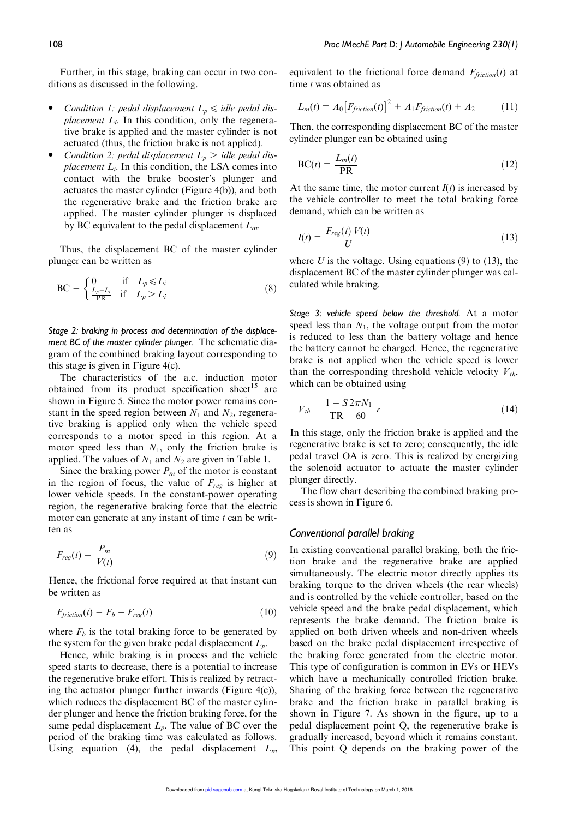Further, in this stage, braking can occur in two conditions as discussed in the following.

- Condition 1: pedal displacement  $L_p \leq$  idle pedal dis*placement*  $L_i$ . In this condition, only the regenerative brake is applied and the master cylinder is not actuated (thus, the friction brake is not applied).
- Condition 2: pedal displacement  $L_p$  > idle pedal dis*placement*  $L_i$ . In this condition, the LSA comes into contact with the brake booster's plunger and actuates the master cylinder (Figure 4(b)), and both the regenerative brake and the friction brake are applied. The master cylinder plunger is displaced by BC equivalent to the pedal displacement  $L_m$ .

Thus, the displacement BC of the master cylinder plunger can be written as

$$
\text{BC} = \begin{cases} 0 & \text{if } L_p \leq L_i \\ \frac{L_p - L_i}{\text{PR}} & \text{if } L_p > L_i \end{cases} \tag{8}
$$

*Stage 2: braking in process and determination of the displacement BC of the master cylinder plunger.* The schematic diagram of the combined braking layout corresponding to this stage is given in Figure 4(c).

The characteristics of the a.c. induction motor obtained from its product specification sheet<sup>15</sup> are shown in Figure 5. Since the motor power remains constant in the speed region between  $N_1$  and  $N_2$ , regenerative braking is applied only when the vehicle speed corresponds to a motor speed in this region. At a motor speed less than  $N_1$ , only the friction brake is applied. The values of  $N_1$  and  $N_2$  are given in Table 1.

Since the braking power  $P_m$  of the motor is constant in the region of focus, the value of  $F_{reg}$  is higher at lower vehicle speeds. In the constant-power operating region, the regenerative braking force that the electric motor can generate at any instant of time  $t$  can be written as

$$
F_{reg}(t) = \frac{P_m}{V(t)}\tag{9}
$$

Hence, the frictional force required at that instant can be written as

$$
F_{friction}(t) = F_b - F_{reg}(t)
$$
\n(10)

where  $F_b$  is the total braking force to be generated by the system for the given brake pedal displacement  $L_p$ .

Hence, while braking is in process and the vehicle speed starts to decrease, there is a potential to increase the regenerative brake effort. This is realized by retracting the actuator plunger further inwards (Figure  $4(c)$ ), which reduces the displacement BC of the master cylinder plunger and hence the friction braking force, for the same pedal displacement  $L_p$ . The value of BC over the period of the braking time was calculated as follows. Using equation (4), the pedal displacement  $L_m$  equivalent to the frictional force demand  $F_{friction}(t)$  at time  $t$  was obtained as

$$
L_m(t) = A_0 \left[ F_{friction}(t) \right]^2 + A_1 F_{friction}(t) + A_2 \tag{11}
$$

Then, the corresponding displacement BC of the master cylinder plunger can be obtained using

$$
BC(t) = \frac{L_m(t)}{PR}
$$
 (12)

At the same time, the motor current  $I(t)$  is increased by the vehicle controller to meet the total braking force demand, which can be written as

$$
I(t) = \frac{F_{reg}(t) V(t)}{U}
$$
\n(13)

where U is the voltage. Using equations  $(9)$  to  $(13)$ , the displacement BC of the master cylinder plunger was calculated while braking.

*Stage 3: vehicle speed below the threshold.* At a motor speed less than  $N_1$ , the voltage output from the motor is reduced to less than the battery voltage and hence the battery cannot be charged. Hence, the regenerative brake is not applied when the vehicle speed is lower than the corresponding threshold vehicle velocity  $V_{th}$ , which can be obtained using

$$
V_{th} = \frac{1 - S}{TR} \frac{2\pi N_1}{60} r
$$
 (14)

In this stage, only the friction brake is applied and the regenerative brake is set to zero; consequently, the idle pedal travel OA is zero. This is realized by energizing the solenoid actuator to actuate the master cylinder plunger directly.

The flow chart describing the combined braking process is shown in Figure 6.

#### *Conventional parallel braking*

In existing conventional parallel braking, both the friction brake and the regenerative brake are applied simultaneously. The electric motor directly applies its braking torque to the driven wheels (the rear wheels) and is controlled by the vehicle controller, based on the vehicle speed and the brake pedal displacement, which represents the brake demand. The friction brake is applied on both driven wheels and non-driven wheels based on the brake pedal displacement irrespective of the braking force generated from the electric motor. This type of configuration is common in EVs or HEVs which have a mechanically controlled friction brake. Sharing of the braking force between the regenerative brake and the friction brake in parallel braking is shown in Figure 7. As shown in the figure, up to a pedal displacement point Q, the regenerative brake is gradually increased, beyond which it remains constant. This point Q depends on the braking power of the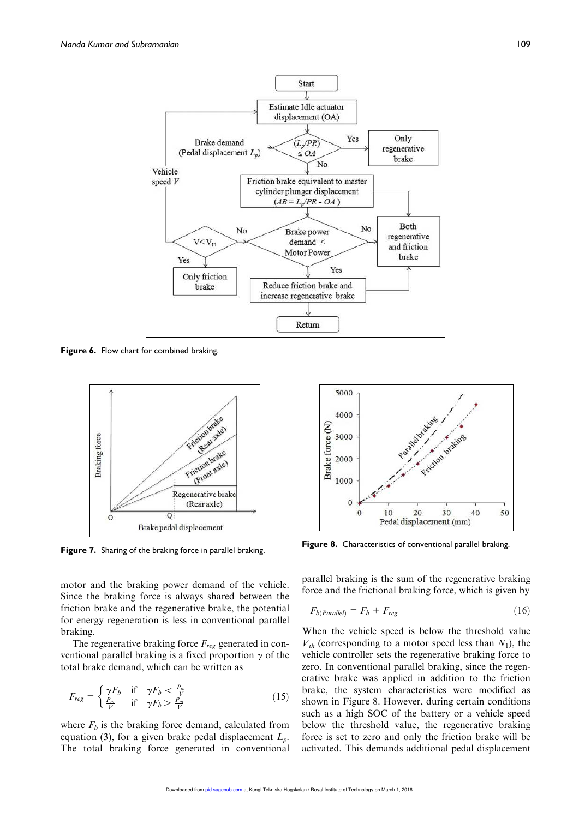

Figure 6. Flow chart for combined braking.



motor and the braking power demand of the vehicle. Since the braking force is always shared between the friction brake and the regenerative brake, the potential for energy regeneration is less in conventional parallel braking.

The regenerative braking force  $F_{reg}$  generated in conventional parallel braking is a fixed proportion  $\gamma$  of the total brake demand, which can be written as

$$
F_{reg} = \begin{cases} \gamma F_b & \text{if } \gamma F_b < \frac{P_m}{V} \\ \frac{P_m}{V} & \text{if } \gamma F_b > \frac{P_m}{V} \end{cases} \tag{15}
$$

where  $F_b$  is the braking force demand, calculated from equation (3), for a given brake pedal displacement  $L_p$ . The total braking force generated in conventional



Figure 7. Sharing of the braking force in parallel braking. Figure 8. Characteristics of conventional parallel braking.

parallel braking is the sum of the regenerative braking force and the frictional braking force, which is given by

$$
F_{b(Parallel)} = F_b + F_{reg}
$$
\n(16)

When the vehicle speed is below the threshold value  $V_{th}$  (corresponding to a motor speed less than  $N_1$ ), the vehicle controller sets the regenerative braking force to zero. In conventional parallel braking, since the regenerative brake was applied in addition to the friction brake, the system characteristics were modified as shown in Figure 8. However, during certain conditions such as a high SOC of the battery or a vehicle speed below the threshold value, the regenerative braking force is set to zero and only the friction brake will be activated. This demands additional pedal displacement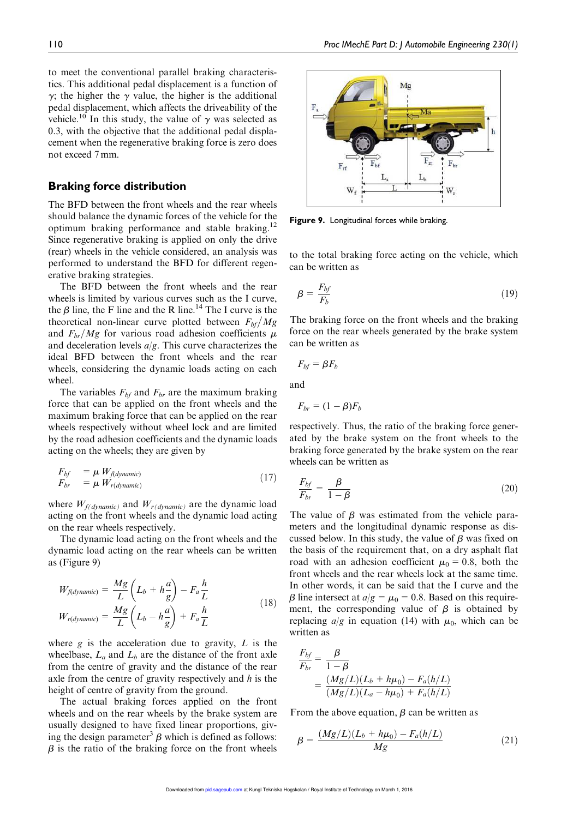to meet the conventional parallel braking characteristics. This additional pedal displacement is a function of  $\gamma$ ; the higher the  $\gamma$  value, the higher is the additional pedal displacement, which affects the driveability of the vehicle.<sup>10</sup> In this study, the value of  $\gamma$  was selected as 0.3, with the objective that the additional pedal displacement when the regenerative braking force is zero does not exceed 7 mm.

# Braking force distribution

The BFD between the front wheels and the rear wheels should balance the dynamic forces of the vehicle for the optimum braking performance and stable braking.<sup>12</sup> Since regenerative braking is applied on only the drive (rear) wheels in the vehicle considered, an analysis was performed to understand the BFD for different regenerative braking strategies.

The BFD between the front wheels and the rear wheels is limited by various curves such as the I curve, the  $\beta$  line, the F line and the R line.<sup>14</sup> The I curve is the theoretical non-linear curve plotted between  $F_{bf}/Mg$ and  $F_{br}/Mg$  for various road adhesion coefficients  $\mu$ and deceleration levels  $a/g$ . This curve characterizes the ideal BFD between the front wheels and the rear wheels, considering the dynamic loads acting on each wheel.

The variables  $F_{bf}$  and  $F_{br}$  are the maximum braking force that can be applied on the front wheels and the maximum braking force that can be applied on the rear wheels respectively without wheel lock and are limited by the road adhesion coefficients and the dynamic loads acting on the wheels; they are given by

$$
F_{bf} = \mu W_{fdynamic)}
$$
  
\n
$$
F_{br} = \mu W_{r(dynamic)}
$$
\n(17)

where  $W_{f(dynamic)}$  and  $W_{r(dynamic)}$  are the dynamic load acting on the front wheels and the dynamic load acting on the rear wheels respectively.

The dynamic load acting on the front wheels and the dynamic load acting on the rear wheels can be written as (Figure 9)

$$
W_{fdynamic)} = \frac{Mg}{L} \left( L_b + h \frac{a}{g} \right) - F_a \frac{h}{L}
$$
  
\n
$$
W_{rdynamic)} = \frac{Mg}{L} \left( L_b - h \frac{a}{g} \right) + F_a \frac{h}{L}
$$
\n(18)

where  $g$  is the acceleration due to gravity,  $L$  is the wheelbase,  $L_a$  and  $L_b$  are the distance of the front axle from the centre of gravity and the distance of the rear axle from the centre of gravity respectively and h is the height of centre of gravity from the ground.

The actual braking forces applied on the front wheels and on the rear wheels by the brake system are usually designed to have fixed linear proportions, giving the design parameter<sup>3</sup>  $\beta$  which is defined as follows:  $\beta$  is the ratio of the braking force on the front wheels



Figure 9. Longitudinal forces while braking.

to the total braking force acting on the vehicle, which can be written as

$$
\beta = \frac{F_{bf}}{F_b} \tag{19}
$$

The braking force on the front wheels and the braking force on the rear wheels generated by the brake system can be written as

$$
F_{bf} = \beta F_b
$$

and

$$
F_{br} = (1 - \beta)F_b
$$

respectively. Thus, the ratio of the braking force generated by the brake system on the front wheels to the braking force generated by the brake system on the rear wheels can be written as

$$
\frac{F_{bf}}{F_{br}} = \frac{\beta}{1 - \beta} \tag{20}
$$

The value of  $\beta$  was estimated from the vehicle parameters and the longitudinal dynamic response as discussed below. In this study, the value of  $\beta$  was fixed on the basis of the requirement that, on a dry asphalt flat road with an adhesion coefficient  $\mu_0 = 0.8$ , both the front wheels and the rear wheels lock at the same time. In other words, it can be said that the I curve and the  $\beta$  line intersect at  $a/g = \mu_0 = 0.8$ . Based on this requirement, the corresponding value of  $\beta$  is obtained by replacing  $a/g$  in equation (14) with  $\mu_0$ , which can be written as

$$
\frac{F_{bf}}{F_{br}} = \frac{\beta}{1 - \beta} \n= \frac{(Mg/L)(L_b + h\mu_0) - F_a(h/L)}{(Mg/L)(L_a - h\mu_0) + F_a(h/L)}
$$

From the above equation,  $\beta$  can be written as

$$
\beta = \frac{(Mg/L)(L_b + h\mu_0) - F_a(h/L)}{Mg} \tag{21}
$$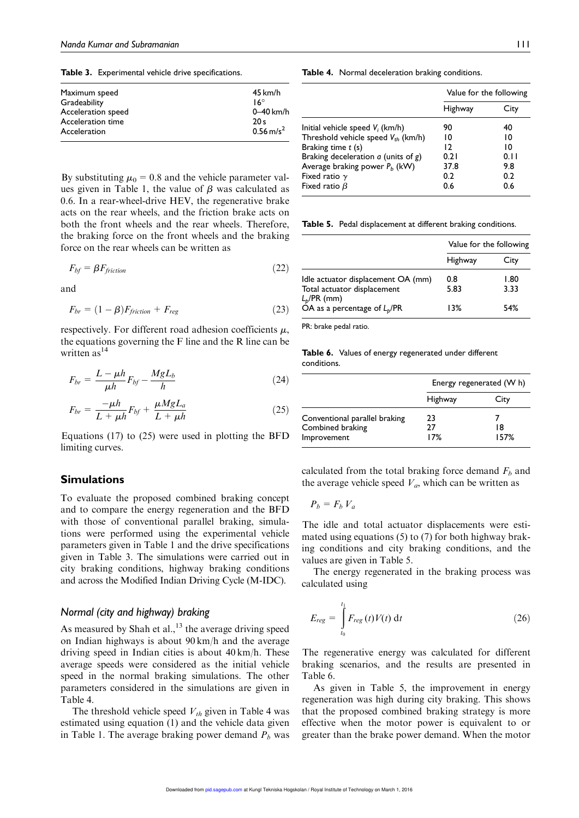Table 3. Experimental vehicle drive specifications.

| Maximum speed      | $45$ km/h            |
|--------------------|----------------------|
| Gradeability       | $16^\circ$           |
| Acceleration speed | 0-40 km/h            |
| Acceleration time  | 20s                  |
| Acceleration       | $0.56 \text{ m/s}^2$ |
|                    |                      |

By substituting  $\mu_0 = 0.8$  and the vehicle parameter values given in Table 1, the value of  $\beta$  was calculated as 0.6. In a rear-wheel-drive HEV, the regenerative brake acts on the rear wheels, and the friction brake acts on both the front wheels and the rear wheels. Therefore, the braking force on the front wheels and the braking force on the rear wheels can be written as

$$
F_{bf} = \beta F_{friction} \tag{22}
$$

and

$$
F_{br} = (1 - \beta)F_{friction} + F_{reg}
$$
\n(23)

respectively. For different road adhesion coefficients  $\mu$ , the equations governing the F line and the R line can be written  $as^{14}$ 

$$
F_{br} = \frac{L - \mu h}{\mu h} F_{bf} - \frac{MgL_b}{h}
$$
 (24)

$$
F_{br} = \frac{-\mu h}{L + \mu h} F_{bf} + \frac{\mu M g L_a}{L + \mu h}
$$
 (25)

Equations (17) to (25) were used in plotting the BFD limiting curves.

#### Simulations

To evaluate the proposed combined braking concept and to compare the energy regeneration and the BFD with those of conventional parallel braking, simulations were performed using the experimental vehicle parameters given in Table 1 and the drive specifications given in Table 3. The simulations were carried out in city braking conditions, highway braking conditions and across the Modified Indian Driving Cycle (M-IDC).

## *Normal (city and highway) braking*

As measured by Shah et al.,  $13$  the average driving speed on Indian highways is about 90 km/h and the average driving speed in Indian cities is about 40 km/h. These average speeds were considered as the initial vehicle speed in the normal braking simulations. The other parameters considered in the simulations are given in Table 4.

The threshold vehicle speed  $V_{th}$  given in Table 4 was estimated using equation (1) and the vehicle data given in Table 1. The average braking power demand  $P_b$  was

Table 4. Normal deceleration braking conditions.

|                                          | Value for the following |      |
|------------------------------------------|-------------------------|------|
|                                          | Highway                 | City |
| Initial vehicle speed $V_i$ (km/h)       | 90                      | 40   |
| Threshold vehicle speed $V_{th}$ (km/h)  | 10                      | 10   |
| Braking time $t$ (s)                     | 12                      | 10   |
| Braking deceleration $a$ (units of $g$ ) | 0.21                    | 0.11 |
| Average braking power $P_h$ (kW)         | 37.8                    | 9.8  |
| Fixed ratio $\gamma$                     | 0.2                     | 0.2  |
| Fixed ratio $\beta$                      | 0.6                     | 0.6  |

Table 5. Pedal displacement at different braking conditions.

|                                                                                     | Value for the following |              |
|-------------------------------------------------------------------------------------|-------------------------|--------------|
|                                                                                     | Highway                 | City         |
| Idle actuator displacement OA (mm)<br>Total actuator displacement<br>$L_b$ /PR (mm) | 0.8<br>5.83             | 1.80<br>3.33 |
| OA as a percentage of $L_p$ /PR                                                     | 13%                     | 54%          |

PR: brake pedal ratio.

Table 6. Values of energy regenerated under different conditions.

|                                                                  | Energy regenerated (W h) |            |
|------------------------------------------------------------------|--------------------------|------------|
|                                                                  | Highway                  | City       |
| Conventional parallel braking<br>Combined braking<br>Improvement | 23<br>27<br>17%          | 18<br>157% |

calculated from the total braking force demand  $F_b$  and the average vehicle speed  $V_a$ , which can be written as

$$
P_b = F_b V_a
$$

The idle and total actuator displacements were estimated using equations (5) to (7) for both highway braking conditions and city braking conditions, and the values are given in Table 5.

The energy regenerated in the braking process was calculated using

$$
E_{reg} = \int_{t_0}^{t_1} F_{reg}(t) V(t) dt
$$
 (26)

The regenerative energy was calculated for different braking scenarios, and the results are presented in Table 6.

As given in Table 5, the improvement in energy regeneration was high during city braking. This shows that the proposed combined braking strategy is more effective when the motor power is equivalent to or greater than the brake power demand. When the motor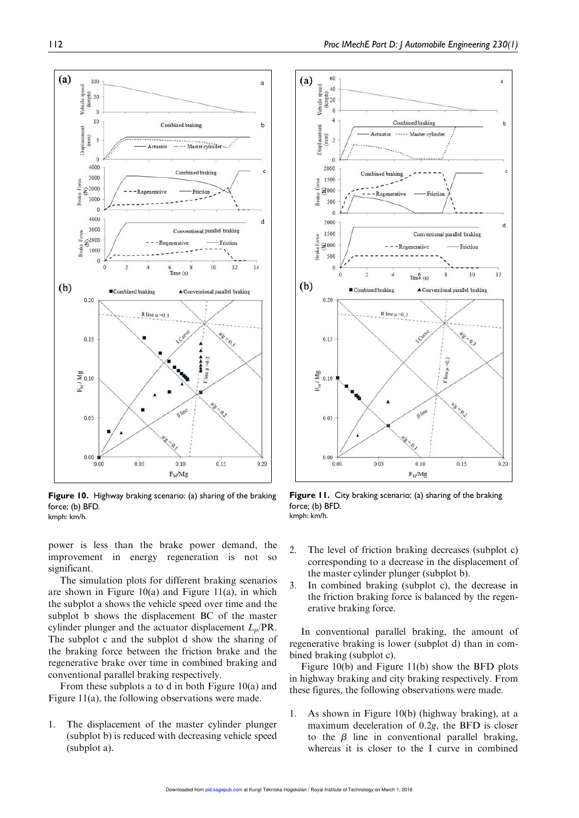

Figure 10. Highway braking scenario: (a) sharing of the braking force; (b) BFD. kmph: km/h.

power is less than the brake power demand, the improvement in energy regeneration is not so significant.

The simulation plots for different braking scenarios are shown in Figure 10(a) and Figure 11(a), in which the subplot a shows the vehicle speed over time and the subplot b shows the displacement BC of the master cylinder plunger and the actuator displacement  $L_p/PR$ . The subplot c and the subplot d show the sharing of the braking force between the friction brake and the regenerative brake over time in combined braking and conventional parallel braking respectively.

From these subplots a to d in both Figure 10(a) and Figure 11(a), the following observations were made.

1. The displacement of the master cylinder plunger (subplot b) is reduced with decreasing vehicle speed (subplot a).



Figure 11. City braking scenario: (a) sharing of the braking force; (b) BFD. kmph: km/h.

- 2. The level of friction braking decreases (subplot c) corresponding to a decrease in the displacement of the master cylinder plunger (subplot b).
- 3. In combined braking (subplot c), the decrease in the friction braking force is balanced by the regenerative braking force.

In conventional parallel braking, the amount of regenerative braking is lower (subplot d) than in combined braking (subplot c).

Figure 10(b) and Figure 11(b) show the BFD plots in highway braking and city braking respectively. From these figures, the following observations were made.

1. As shown in Figure 10(b) (highway braking), at a maximum deceleration of 0.2g, the BFD is closer to the  $\beta$  line in conventional parallel braking, whereas it is closer to the I curve in combined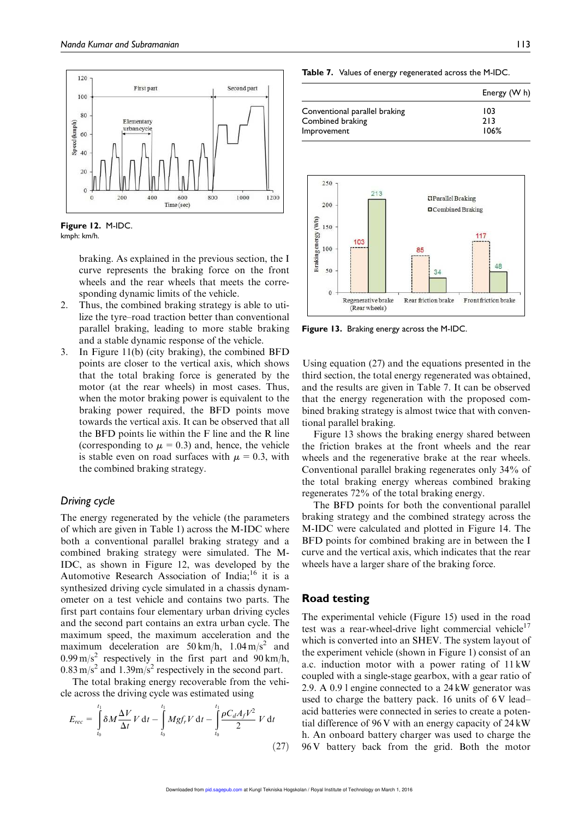



braking. As explained in the previous section, the I curve represents the braking force on the front wheels and the rear wheels that meets the corresponding dynamic limits of the vehicle.

- 2. Thus, the combined braking strategy is able to utilize the tyre–road traction better than conventional parallel braking, leading to more stable braking and a stable dynamic response of the vehicle.
- 3. In Figure 11(b) (city braking), the combined BFD points are closer to the vertical axis, which shows that the total braking force is generated by the motor (at the rear wheels) in most cases. Thus, when the motor braking power is equivalent to the braking power required, the BFD points move towards the vertical axis. It can be observed that all the BFD points lie within the F line and the R line (corresponding to  $\mu = 0.3$ ) and, hence, the vehicle is stable even on road surfaces with  $\mu = 0.3$ , with the combined braking strategy.

## *Driving cycle*

The energy regenerated by the vehicle (the parameters of which are given in Table 1) across the M-IDC where both a conventional parallel braking strategy and a combined braking strategy were simulated. The M-IDC, as shown in Figure 12, was developed by the Automotive Research Association of India; $^{16}$  it is a synthesized driving cycle simulated in a chassis dynamometer on a test vehicle and contains two parts. The first part contains four elementary urban driving cycles and the second part contains an extra urban cycle. The maximum speed, the maximum acceleration and the maximum deceleration are  $50 \text{ km/h}$ ,  $1.04 \text{ m/s}^2$  and  $0.99 \text{ m/s}^2$  respectively in the first part and  $90 \text{ km/h}$ ,  $0.83 \text{ m/s}^2$  and  $1.39 \text{ m/s}^2$  respectively in the second part.

The total braking energy recoverable from the vehicle across the driving cycle was estimated using

$$
E_{rec} = \int_{t_0}^{t_1} \delta M \frac{\Delta V}{\Delta t} V dt - \int_{t_0}^{t_1} Mgf_r V dt - \int_{t_0}^{t_1} \frac{\rho C_d A_f V^2}{2} V dt
$$
\n(27)

Table 7. Values of energy regenerated across the M-IDC.

|                                                   | Energy (W h)       |
|---------------------------------------------------|--------------------|
| Conventional parallel braking<br>Combined braking | 103<br>213<br>106% |
| Improvement                                       |                    |



Figure 13. Braking energy across the M-IDC.

Using equation (27) and the equations presented in the third section, the total energy regenerated was obtained, and the results are given in Table 7. It can be observed that the energy regeneration with the proposed combined braking strategy is almost twice that with conventional parallel braking.

Figure 13 shows the braking energy shared between the friction brakes at the front wheels and the rear wheels and the regenerative brake at the rear wheels. Conventional parallel braking regenerates only 34% of the total braking energy whereas combined braking regenerates 72% of the total braking energy.

The BFD points for both the conventional parallel braking strategy and the combined strategy across the M-IDC were calculated and plotted in Figure 14. The BFD points for combined braking are in between the I curve and the vertical axis, which indicates that the rear wheels have a larger share of the braking force.

# Road testing

The experimental vehicle (Figure 15) used in the road test was a rear-wheel-drive light commercial vehicle<sup>17</sup> which is converted into an SHEV. The system layout of the experiment vehicle (shown in Figure 1) consist of an a.c. induction motor with a power rating of 11 kW coupled with a single-stage gearbox, with a gear ratio of 2.9. A 0.9 l engine connected to a 24 kW generator was used to charge the battery pack. 16 units of  $6V$  lead– acid batteries were connected in series to create a potential difference of 96 V with an energy capacity of 24 kW h. An onboard battery charger was used to charge the 96 V battery back from the grid. Both the motor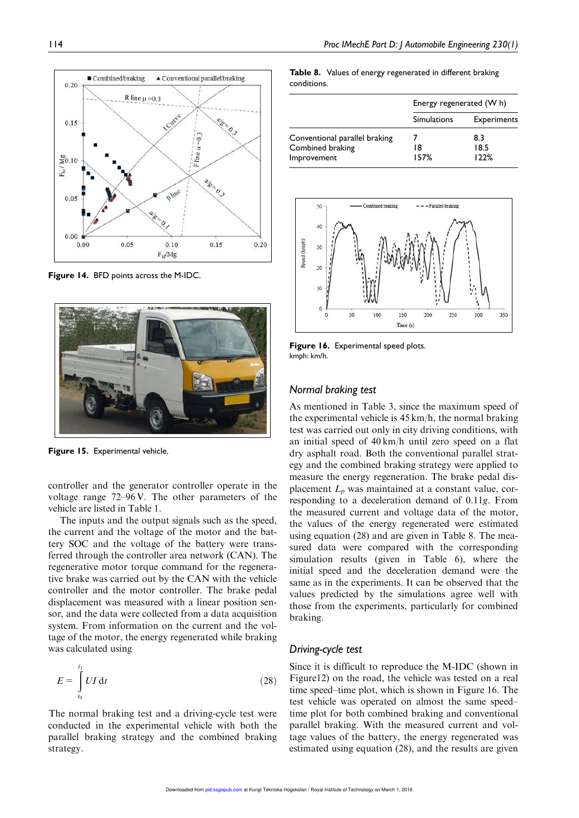

Figure 14. BFD points across the M-IDC.



Figure 15. Experimental vehicle.

controller and the generator controller operate in the voltage range 72–96 V. The other parameters of the vehicle are listed in Table 1.

The inputs and the output signals such as the speed, the current and the voltage of the motor and the battery SOC and the voltage of the battery were transferred through the controller area network (CAN). The regenerative motor torque command for the regenerative brake was carried out by the CAN with the vehicle controller and the motor controller. The brake pedal displacement was measured with a linear position sensor, and the data were collected from a data acquisition system. From information on the current and the voltage of the motor, the energy regenerated while braking was calculated using

$$
E = \int_{t_0}^{t_1} UI \, \mathrm{d}t \tag{28}
$$

The normal braking test and a driving-cycle test were conducted in the experimental vehicle with both the parallel braking strategy and the combined braking strategy.

Table 8. Values of energy regenerated in different braking conditions.

|                                 | Energy regenerated (W h) |                    |
|---------------------------------|--------------------------|--------------------|
|                                 | Simulations              | <b>Experiments</b> |
| Conventional parallel braking   |                          | 8.3                |
| Combined braking<br>Improvement | 18<br>157%               | 18.5<br>122%       |



Figure 16. Experimental speed plots. kmph: km/h.

#### *Normal braking test*

As mentioned in Table 3, since the maximum speed of the experimental vehicle is 45 km/h, the normal braking test was carried out only in city driving conditions, with an initial speed of 40 km/h until zero speed on a flat dry asphalt road. Both the conventional parallel strategy and the combined braking strategy were applied to measure the energy regeneration. The brake pedal displacement  $L_p$  was maintained at a constant value, corresponding to a deceleration demand of 0.11g. From the measured current and voltage data of the motor, the values of the energy regenerated were estimated using equation (28) and are given in Table 8. The measured data were compared with the corresponding simulation results (given in Table 6), where the initial speed and the deceleration demand were the same as in the experiments. It can be observed that the values predicted by the simulations agree well with those from the experiments, particularly for combined braking.

## *Driving-cycle test*

Since it is difficult to reproduce the M-IDC (shown in Figure12) on the road, the vehicle was tested on a real time speed–time plot, which is shown in Figure 16. The test vehicle was operated on almost the same speed– time plot for both combined braking and conventional parallel braking. With the measured current and voltage values of the battery, the energy regenerated was estimated using equation (28), and the results are given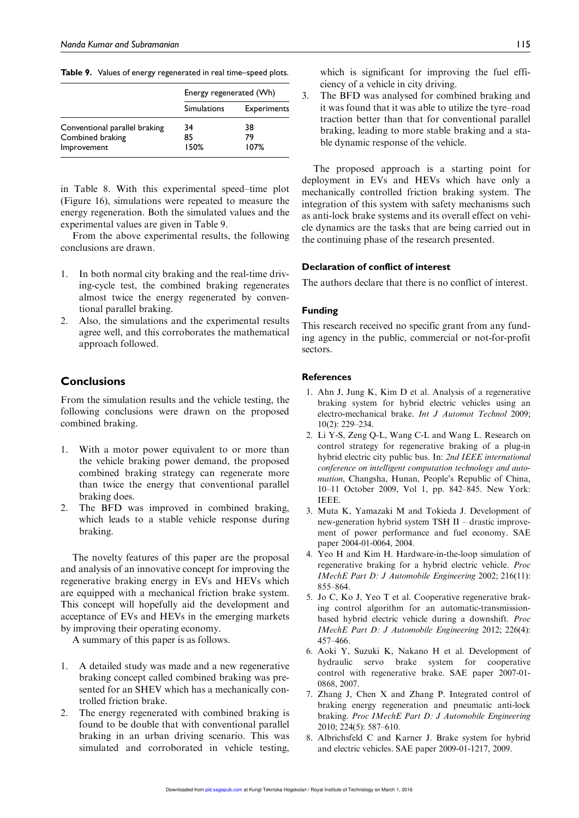Table 9. Values of energy regenerated in real time-speed plots.

|                               | Energy regenerated (Wh) |                    |
|-------------------------------|-------------------------|--------------------|
|                               | <b>Simulations</b>      | <b>Experiments</b> |
| Conventional parallel braking | 34                      | 38                 |
| Combined braking              | 85                      | 79                 |
| Improvement                   | 150%                    | 107%               |

in Table 8. With this experimental speed–time plot (Figure 16), simulations were repeated to measure the energy regeneration. Both the simulated values and the experimental values are given in Table 9.

From the above experimental results, the following conclusions are drawn.

- 1. In both normal city braking and the real-time driving-cycle test, the combined braking regenerates almost twice the energy regenerated by conventional parallel braking.
- 2. Also, the simulations and the experimental results agree well, and this corroborates the mathematical approach followed.

# **Conclusions**

From the simulation results and the vehicle testing, the following conclusions were drawn on the proposed combined braking.

- 1. With a motor power equivalent to or more than the vehicle braking power demand, the proposed combined braking strategy can regenerate more than twice the energy that conventional parallel braking does.
- 2. The BFD was improved in combined braking, which leads to a stable vehicle response during braking.

The novelty features of this paper are the proposal and analysis of an innovative concept for improving the regenerative braking energy in EVs and HEVs which are equipped with a mechanical friction brake system. This concept will hopefully aid the development and acceptance of EVs and HEVs in the emerging markets by improving their operating economy.

A summary of this paper is as follows.

- 1. A detailed study was made and a new regenerative braking concept called combined braking was presented for an SHEV which has a mechanically controlled friction brake.
- 2. The energy regenerated with combined braking is found to be double that with conventional parallel braking in an urban driving scenario. This was simulated and corroborated in vehicle testing,

which is significant for improving the fuel efficiency of a vehicle in city driving.

3. The BFD was analysed for combined braking and it was found that it was able to utilize the tyre–road traction better than that for conventional parallel braking, leading to more stable braking and a stable dynamic response of the vehicle.

The proposed approach is a starting point for deployment in EVs and HEVs which have only a mechanically controlled friction braking system. The integration of this system with safety mechanisms such as anti-lock brake systems and its overall effect on vehicle dynamics are the tasks that are being carried out in the continuing phase of the research presented.

#### Declaration of conflict of interest

The authors declare that there is no conflict of interest.

#### Funding

This research received no specific grant from any funding agency in the public, commercial or not-for-profit sectors.

# References

- 1. Ahn J, Jung K, Kim D et al. Analysis of a regenerative braking system for hybrid electric vehicles using an electro-mechanical brake. Int J Automot Technol 2009; 10(2): 229–234.
- 2. Li Y-S, Zeng Q-L, Wang C-L and Wang L. Research on control strategy for regenerative braking of a plug-in hybrid electric city public bus. In: 2nd IEEE international conference on intelligent computation technology and automation, Changsha, Hunan, People's Republic of China, 10–11 October 2009, Vol 1, pp. 842–845. New York: IEEE.
- 3. Muta K, Yamazaki M and Tokieda J. Development of new-generation hybrid system TSH II – drastic improvement of power performance and fuel economy. SAE paper 2004-01-0064, 2004.
- 4. Yeo H and Kim H. Hardware-in-the-loop simulation of regenerative braking for a hybrid electric vehicle. Proc IMechE Part D: J Automobile Engineering 2002; 216(11): 855–864.
- 5. Jo C, Ko J, Yeo T et al. Cooperative regenerative braking control algorithm for an automatic-transmissionbased hybrid electric vehicle during a downshift. Proc IMechE Part D: J Automobile Engineering 2012; 226(4): 457–466.
- 6. Aoki Y, Suzuki K, Nakano H et al. Development of hydraulic servo brake system for cooperative control with regenerative brake. SAE paper 2007-01- 0868, 2007.
- 7. Zhang J, Chen X and Zhang P. Integrated control of braking energy regeneration and pneumatic anti-lock braking. Proc IMechE Part D: J Automobile Engineering 2010; 224(5): 587–610.
- 8. Albrichsfeld C and Karner J. Brake system for hybrid and electric vehicles. SAE paper 2009-01-1217, 2009.